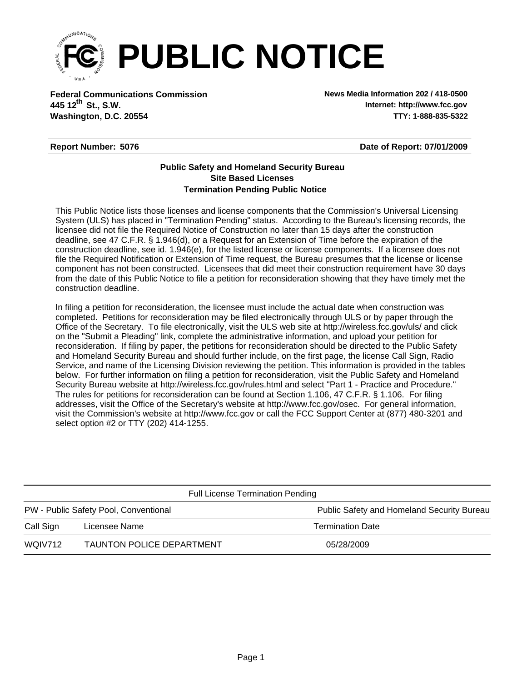

**Federal Communications Commission News Media Information 202 / 418-0500 Washington, D.C. 20554 TTY: 1-888-835-5322 445 12<sup>th</sup> St., S.W.** 

**Internet: http://www.fcc.gov**

## **Report Number: 5076**

**Date of Report: 07/01/2009**

## **Termination Pending Public Notice Site Based Licenses Public Safety and Homeland Security Bureau**

This Public Notice lists those licenses and license components that the Commission's Universal Licensing System (ULS) has placed in "Termination Pending" status. According to the Bureau's licensing records, the licensee did not file the Required Notice of Construction no later than 15 days after the construction deadline, see 47 C.F.R. § 1.946(d), or a Request for an Extension of Time before the expiration of the construction deadline, see id. 1.946(e), for the listed license or license components. If a licensee does not file the Required Notification or Extension of Time request, the Bureau presumes that the license or license component has not been constructed. Licensees that did meet their construction requirement have 30 days from the date of this Public Notice to file a petition for reconsideration showing that they have timely met the construction deadline.

In filing a petition for reconsideration, the licensee must include the actual date when construction was completed. Petitions for reconsideration may be filed electronically through ULS or by paper through the Office of the Secretary. To file electronically, visit the ULS web site at http://wireless.fcc.gov/uls/ and click on the "Submit a Pleading" link, complete the administrative information, and upload your petition for reconsideration. If filing by paper, the petitions for reconsideration should be directed to the Public Safety and Homeland Security Bureau and should further include, on the first page, the license Call Sign, Radio Service, and name of the Licensing Division reviewing the petition. This information is provided in the tables below. For further information on filing a petition for reconsideration, visit the Public Safety and Homeland Security Bureau website at http://wireless.fcc.gov/rules.html and select "Part 1 - Practice and Procedure." The rules for petitions for reconsideration can be found at Section 1.106, 47 C.F.R. § 1.106. For filing addresses, visit the Office of the Secretary's website at http://www.fcc.gov/osec. For general information, visit the Commission's website at http://www.fcc.gov or call the FCC Support Center at (877) 480-3201 and select option #2 or TTY (202) 414-1255.

| PW - Public Safety Pool, Conventional<br>Licensee Name<br><b>Termination Date</b><br>Call Sign | <b>Full License Termination Pending</b> |  |                                            |  |  |  |
|------------------------------------------------------------------------------------------------|-----------------------------------------|--|--------------------------------------------|--|--|--|
|                                                                                                |                                         |  | Public Safety and Homeland Security Bureau |  |  |  |
|                                                                                                |                                         |  |                                            |  |  |  |
| TAUNTON POLICE DEPARTMENT<br>WOIV712<br>05/28/2009                                             |                                         |  |                                            |  |  |  |